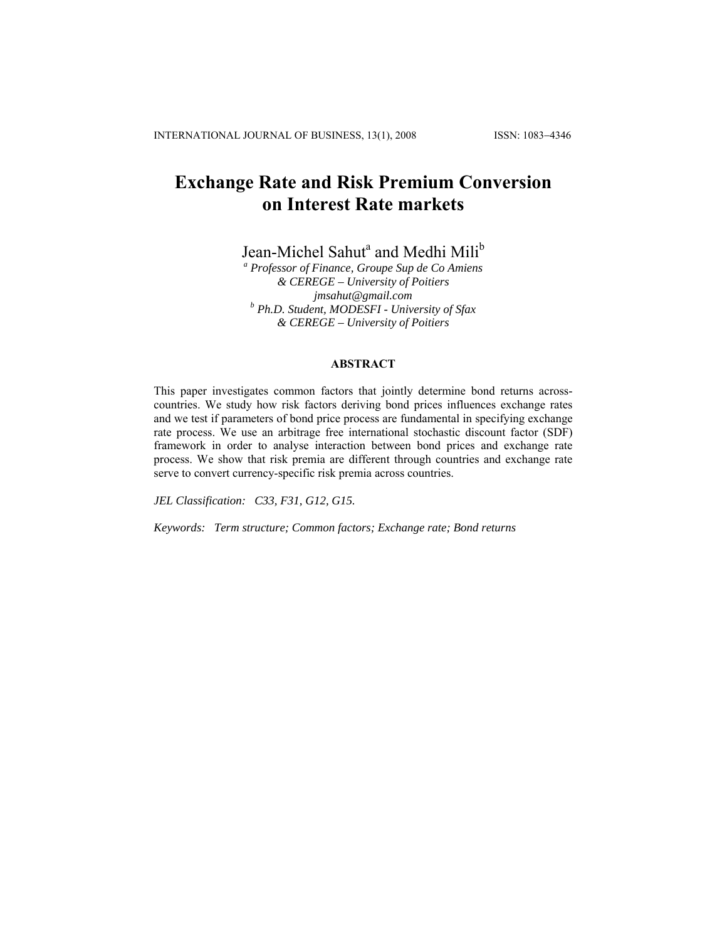# **Exchange Rate and Risk Premium Conversion on Interest Rate markets**

Jean-Michel Sahut<sup>a</sup> and Medhi Mili<sup>b</sup>

*a Professor of Finance, Groupe Sup de Co Amiens & CEREGE – University of Poitiers jmsahut@gmail.com b Ph.D. Student, MODESFI - University of Sfax & CEREGE – University of Poitiers* 

## **ABSTRACT**

This paper investigates common factors that jointly determine bond returns acrosscountries. We study how risk factors deriving bond prices influences exchange rates and we test if parameters of bond price process are fundamental in specifying exchange rate process. We use an arbitrage free international stochastic discount factor (SDF) framework in order to analyse interaction between bond prices and exchange rate process. We show that risk premia are different through countries and exchange rate serve to convert currency-specific risk premia across countries.

*JEL Classification: C33, F31, G12, G15.* 

*Keywords: Term structure; Common factors; Exchange rate; Bond returns*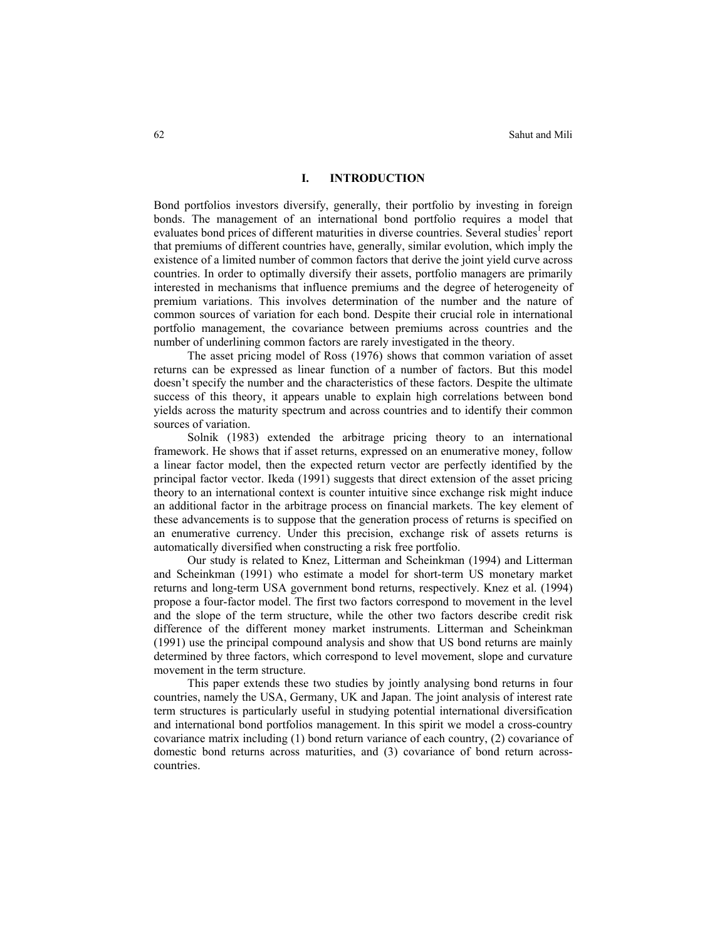## **I. INTRODUCTION**

Bond portfolios investors diversify, generally, their portfolio by investing in foreign bonds. The management of an international bond portfolio requires a model that evaluates bond prices of different maturities in diverse countries. Several studies<sup>1</sup> report that premiums of different countries have, generally, similar evolution, which imply the existence of a limited number of common factors that derive the joint yield curve across countries. In order to optimally diversify their assets, portfolio managers are primarily interested in mechanisms that influence premiums and the degree of heterogeneity of premium variations. This involves determination of the number and the nature of common sources of variation for each bond. Despite their crucial role in international portfolio management, the covariance between premiums across countries and the number of underlining common factors are rarely investigated in the theory.

The asset pricing model of Ross (1976) shows that common variation of asset returns can be expressed as linear function of a number of factors. But this model doesn't specify the number and the characteristics of these factors. Despite the ultimate success of this theory, it appears unable to explain high correlations between bond yields across the maturity spectrum and across countries and to identify their common sources of variation.

Solnik (1983) extended the arbitrage pricing theory to an international framework. He shows that if asset returns, expressed on an enumerative money, follow a linear factor model, then the expected return vector are perfectly identified by the principal factor vector. Ikeda (1991) suggests that direct extension of the asset pricing theory to an international context is counter intuitive since exchange risk might induce an additional factor in the arbitrage process on financial markets. The key element of these advancements is to suppose that the generation process of returns is specified on an enumerative currency. Under this precision, exchange risk of assets returns is automatically diversified when constructing a risk free portfolio.

Our study is related to Knez, Litterman and Scheinkman (1994) and Litterman and Scheinkman (1991) who estimate a model for short-term US monetary market returns and long-term USA government bond returns, respectively. Knez et al. (1994) propose a four-factor model. The first two factors correspond to movement in the level and the slope of the term structure, while the other two factors describe credit risk difference of the different money market instruments. Litterman and Scheinkman (1991) use the principal compound analysis and show that US bond returns are mainly determined by three factors, which correspond to level movement, slope and curvature movement in the term structure.

This paper extends these two studies by jointly analysing bond returns in four countries, namely the USA, Germany, UK and Japan. The joint analysis of interest rate term structures is particularly useful in studying potential international diversification and international bond portfolios management. In this spirit we model a cross-country covariance matrix including (1) bond return variance of each country, (2) covariance of domestic bond returns across maturities, and (3) covariance of bond return acrosscountries.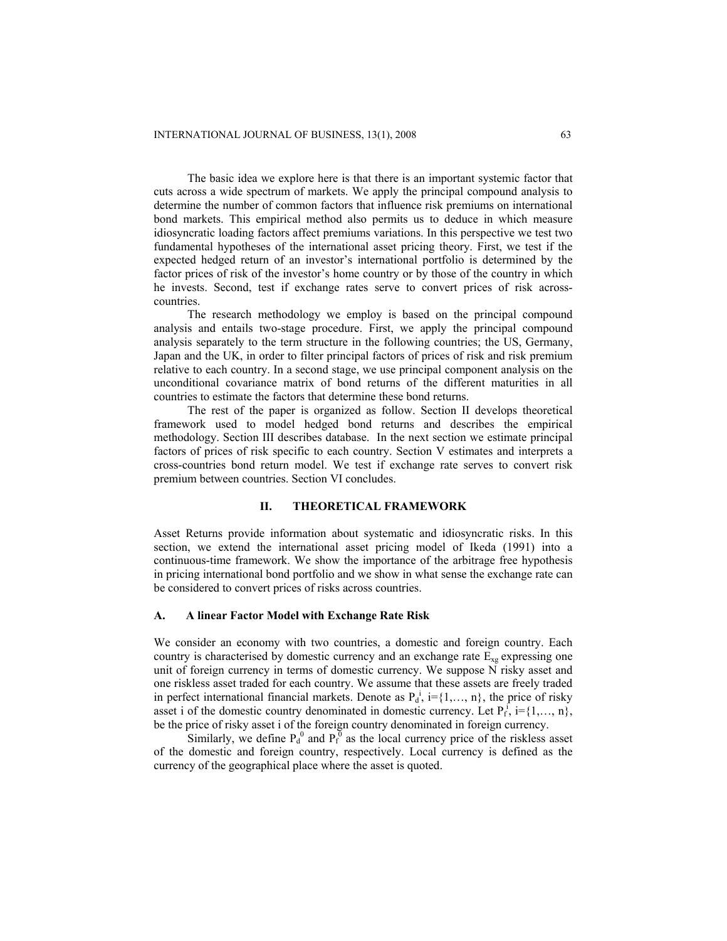The basic idea we explore here is that there is an important systemic factor that cuts across a wide spectrum of markets. We apply the principal compound analysis to determine the number of common factors that influence risk premiums on international bond markets. This empirical method also permits us to deduce in which measure idiosyncratic loading factors affect premiums variations. In this perspective we test two fundamental hypotheses of the international asset pricing theory. First, we test if the expected hedged return of an investor's international portfolio is determined by the factor prices of risk of the investor's home country or by those of the country in which he invests. Second, test if exchange rates serve to convert prices of risk acrosscountries.

The research methodology we employ is based on the principal compound analysis and entails two-stage procedure. First, we apply the principal compound analysis separately to the term structure in the following countries; the US, Germany, Japan and the UK, in order to filter principal factors of prices of risk and risk premium relative to each country. In a second stage, we use principal component analysis on the unconditional covariance matrix of bond returns of the different maturities in all countries to estimate the factors that determine these bond returns.

The rest of the paper is organized as follow. Section II develops theoretical framework used to model hedged bond returns and describes the empirical methodology. Section III describes database. In the next section we estimate principal factors of prices of risk specific to each country. Section V estimates and interprets a cross-countries bond return model. We test if exchange rate serves to convert risk premium between countries. Section VI concludes.

## **II. THEORETICAL FRAMEWORK**

Asset Returns provide information about systematic and idiosyncratic risks. In this section, we extend the international asset pricing model of Ikeda (1991) into a continuous-time framework. We show the importance of the arbitrage free hypothesis in pricing international bond portfolio and we show in what sense the exchange rate can be considered to convert prices of risks across countries.

#### **A. A linear Factor Model with Exchange Rate Risk**

We consider an economy with two countries, a domestic and foreign country. Each country is characterised by domestic currency and an exchange rate  $E_{xg}$  expressing one unit of foreign currency in terms of domestic currency. We suppose N risky asset and one riskless asset traded for each country. We assume that these assets are freely traded in perfect international financial markets. Denote as  $P_d^i$ ,  $i = \{1, \ldots, n\}$ , the price of risky asset i of the domestic country denominated in domestic currency. Let  $P_f^f$ , i={1,..., n}, be the price of risky asset i of the foreign country denominated in foreign currency.

Similarly, we define  $P_d^0$  and  $P_f^0$  as the local currency price of the riskless asset of the domestic and foreign country, respectively. Local currency is defined as the currency of the geographical place where the asset is quoted.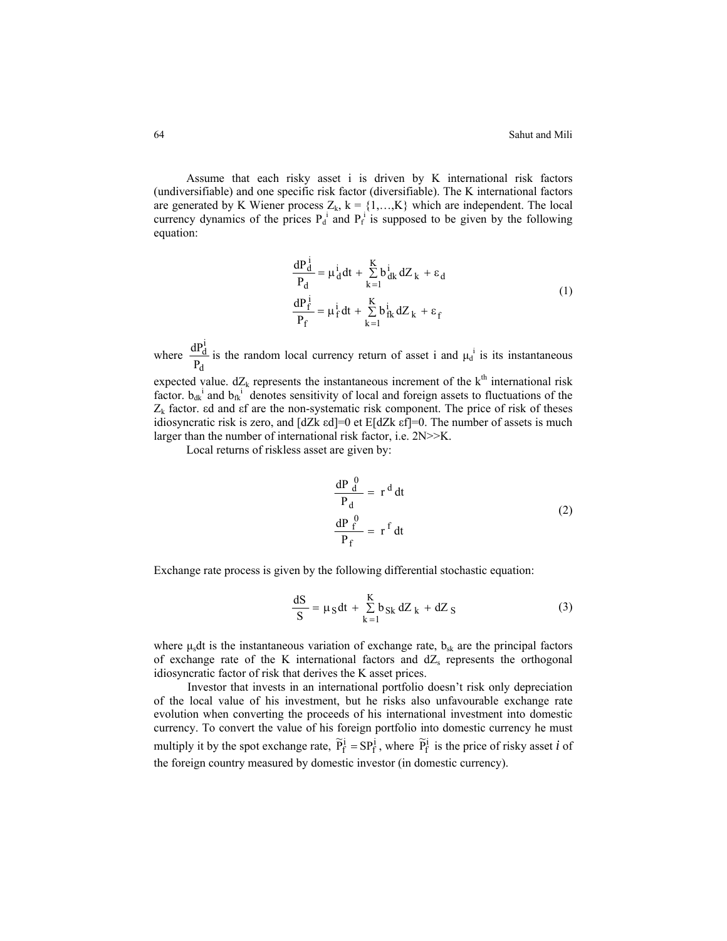Assume that each risky asset i is driven by K international risk factors (undiversifiable) and one specific risk factor (diversifiable). The K international factors are generated by K Wiener process  $Z_k$ ,  $k = \{1,...,K\}$  which are independent. The local currency dynamics of the prices  $P_d^i$  and  $P_f^i$  is supposed to be given by the following equation:

$$
\frac{dP_d^i}{P_d} = \mu_d^i dt + \sum_{k=1}^K b_{dk}^i dZ_k + \varepsilon_d
$$
  

$$
\frac{dP_f^i}{P_f} = \mu_f^i dt + \sum_{k=1}^K b_{fk}^i dZ_k + \varepsilon_f
$$
 (1)

where d i d  $\frac{dP_d^1}{P_d}$  is the random local currency return of asset i and  $\mu_d^i$  is its instantaneous

expected value.  $dZ_k$  represents the instantaneous increment of the  $k<sup>th</sup>$  international risk factor.  $b_{dk}$ <sup>i</sup> and  $b_{fk}$ <sup>i</sup> denotes sensitivity of local and foreign assets to fluctuations of the  $Z_k$  factor. εd and εf are the non-systematic risk component. The price of risk of theses idiosyncratic risk is zero, and [dZk εd]=0 et E[dZk εf]=0. The number of assets is much larger than the number of international risk factor, i.e. 2N>>K.

Local returns of riskless asset are given by:

$$
\frac{dP \frac{0}{d}}{P_d} = r^d dt
$$
  
\n
$$
\frac{dP \frac{0}{f}}{P_f} = r^f dt
$$
\n(2)

Exchange rate process is given by the following differential stochastic equation:

$$
\frac{dS}{S} = \mu_S dt + \sum_{k=1}^{K} b_{Sk} dZ_k + dZ_S
$$
 (3)

where  $\mu_s$ dt is the instantaneous variation of exchange rate,  $b_{sk}$  are the principal factors of exchange rate of the K international factors and  $dZ_s$  represents the orthogonal idiosyncratic factor of risk that derives the K asset prices.

Investor that invests in an international portfolio doesn't risk only depreciation of the local value of his investment, but he risks also unfavourable exchange rate evolution when converting the proceeds of his international investment into domestic currency. To convert the value of his foreign portfolio into domestic currency he must multiply it by the spot exchange rate,  $\tilde{P}_f^i = SP_f^i$ , where  $\tilde{P}_f^i$  is the price of risky asset *i* of the foreign country measured by domestic investor (in domestic currency).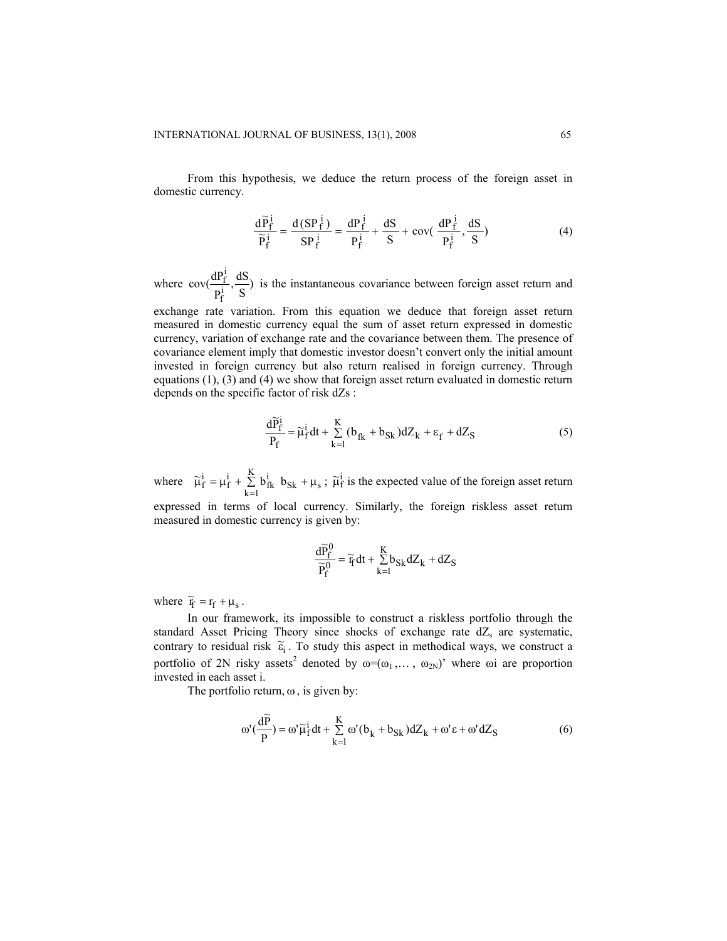From this hypothesis, we deduce the return process of the foreign asset in domestic currency.

$$
\frac{d\widetilde{P}_f^i}{\widetilde{P}_f^i} = \frac{d(SP_f^i)}{SP_f^i} = \frac{dP_f^i}{P_f^i} + \frac{dS}{S} + \text{cov}(\frac{dP_f^i}{P_f^i}, \frac{dS}{S})
$$
(4)

where  $cov(\frac{dP_f^1}{P_f^i}, \frac{dS}{S})$  $\frac{f}{f}$ ,  $\frac{dS}{dS}$  is the instantaneous covariance between foreign asset return and

exchange rate variation. From this equation we deduce that foreign asset return measured in domestic currency equal the sum of asset return expressed in domestic currency, variation of exchange rate and the covariance between them. The presence of covariance element imply that domestic investor doesn't convert only the initial amount invested in foreign currency but also return realised in foreign currency. Through equations (1), (3) and (4) we show that foreign asset return evaluated in domestic return depends on the specific factor of risk dZs :

$$
\frac{d\widetilde{P}_f^i}{P_f} = \widetilde{\mu}_f^i dt + \sum_{k=1}^K (b_{fk} + b_{Sk}) dZ_k + \varepsilon_f + dZ_S
$$
 (5)

where  $\tilde{\mu}_f^i = \mu_f^i + \sum_{k=1}^{K} b_{fk}^i b_{Sk} + \mu_s$ ;  $\tilde{\mu}_f^i = \mu_f^i + \sum_{k=1}^K b_{fk}^i$   $b_{Sk} + \mu_s$ ;  $\tilde{\mu}_f^i$  is the expected value of the foreign asset return expressed in terms of local currency. Similarly, the foreign riskless asset return

measured in domestic currency is given by:

$$
\frac{d\widetilde{P}_f^0}{\widetilde{P}_f^0}=\widetilde{\textbf{r}}_f dt + \sum\limits_{k=1}^K\!b_{Sk} dZ_k + dZ_S
$$

where  $\tilde{r}_f = r_f + \mu_s$ .

In our framework, its impossible to construct a riskless portfolio through the standard Asset Pricing Theory since shocks of exchange rate  $dZ_s$  are systematic, contrary to residual risk  $\tilde{\epsilon}_i$ . To study this aspect in methodical ways, we construct a portfolio of 2N risky assets<sup>2</sup> denoted by  $\omega = (\omega_1, \dots, \omega_{2N})$  where  $\omega$ i are proportion invested in each asset i.

The portfolio return,  $\omega$ , is given by:

$$
\omega'(\frac{d\widetilde{P}}{P}) = \omega'\widetilde{\mu}_f^i dt + \sum_{k=1}^K \omega'(b_k + b_{Sk}) dZ_k + \omega' \epsilon + \omega' dZ_S
$$
 (6)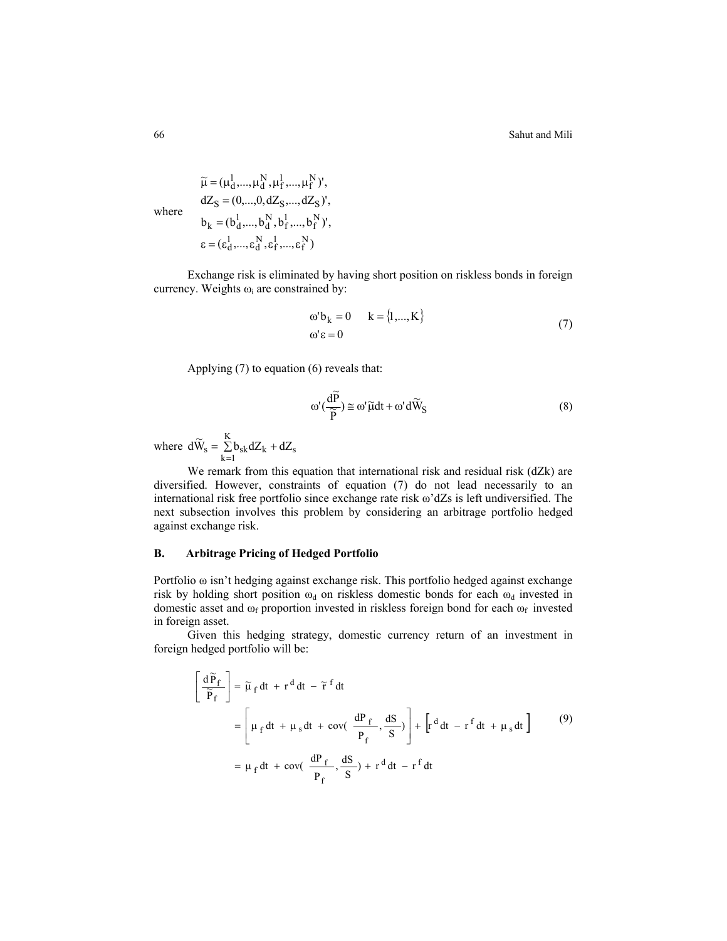where  $\varepsilon = (\varepsilon_d^1,...,\varepsilon_d^N,\varepsilon_f^1,...,\varepsilon_f^N)$  $b_k = (b_d^1,...,b_d^N, b_f^1,...,b_f^N)$ ',  $dZ_S = (0,...,0,dZ_S,...,dZ_S)'$  $\widetilde{\mu} = (\mu_d^1,...,\mu_d^N,\mu_f^1,...,\mu_f^N)$ ',

Exchange risk is eliminated by having short position on riskless bonds in foreign currency. Weights  $\omega_i$  are constrained by:

$$
\begin{aligned}\n\omega' \mathbf{b}_k &= 0 & \mathbf{k} &= \{1, ..., K\} \\
\omega' \varepsilon &= 0\n\end{aligned} \tag{7}
$$

Applying (7) to equation (6) reveals that:

$$
\omega'(\frac{d\widetilde{P}}{\widetilde{P}}) \cong \omega'\widetilde{\mu}dt + \omega'd\widetilde{W}_{S}
$$
\n(8)

where  $d\widetilde{W}_s = \sum_{k=1}^{K} b_{sk} dZ_k + dZ_s$  $d\widetilde{W}_s = \sum_{k=1}^K b_{sk} dZ_k + dZ$ 

We remark from this equation that international risk and residual risk (dZk) are diversified. However, constraints of equation (7) do not lead necessarily to an international risk free portfolio since exchange rate risk  $\omega$ 'dZs is left undiversified. The next subsection involves this problem by considering an arbitrage portfolio hedged against exchange risk.

## **B. Arbitrage Pricing of Hedged Portfolio**

Portfolio ω isn't hedging against exchange risk. This portfolio hedged against exchange risk by holding short position  $\omega_d$  on riskless domestic bonds for each  $\omega_d$  invested in domestic asset and  $\omega_f$  proportion invested in riskless foreign bond for each  $\omega_f$  invested in foreign asset.

Given this hedging strategy, domestic currency return of an investment in foreign hedged portfolio will be:

$$
\left[\frac{d\widetilde{P}_f}{\widetilde{P}_f}\right] = \widetilde{\mu}_f dt + r^d dt - \widetilde{r}^f dt
$$
  
\n
$$
= \left[\mu_f dt + \mu_s dt + \text{cov}\left(\frac{dP_f}{P_f}, \frac{dS}{S}\right)\right] + \left[r^d dt - r^f dt + \mu_s dt\right]
$$
  
\n
$$
= \mu_f dt + \text{cov}\left(\frac{dP_f}{P_f}, \frac{dS}{S}\right) + r^d dt - r^f dt
$$
 (9)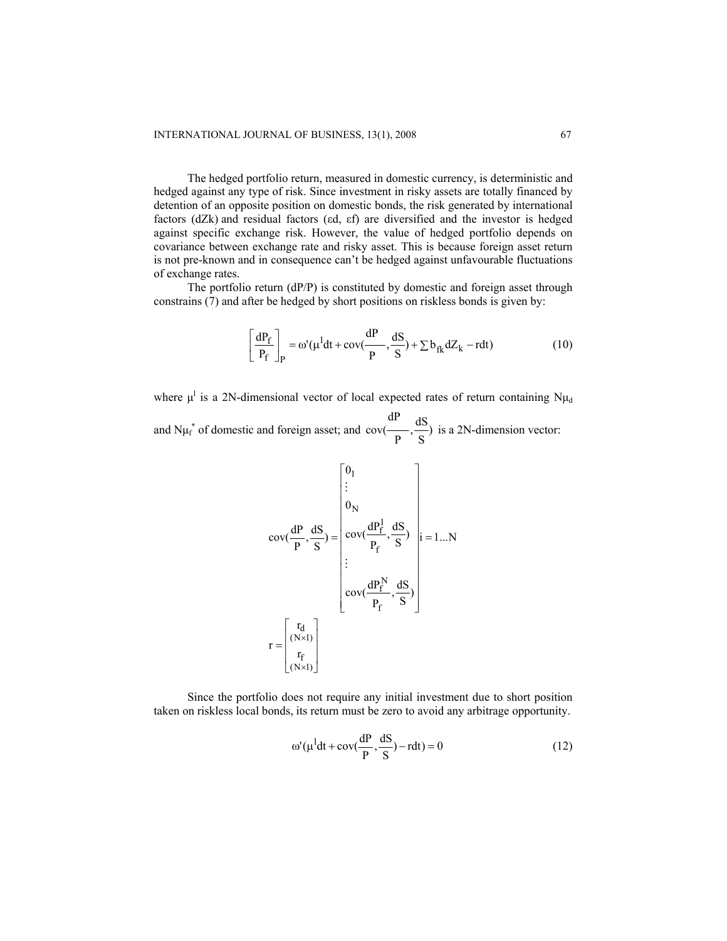The hedged portfolio return, measured in domestic currency, is deterministic and hedged against any type of risk. Since investment in risky assets are totally financed by detention of an opposite position on domestic bonds, the risk generated by international factors (dZk) and residual factors (εd, εf) are diversified and the investor is hedged against specific exchange risk. However, the value of hedged portfolio depends on covariance between exchange rate and risky asset. This is because foreign asset return is not pre-known and in consequence can't be hedged against unfavourable fluctuations of exchange rates.

The portfolio return (dP/P) is constituted by domestic and foreign asset through constrains (7) and after be hedged by short positions on riskless bonds is given by:

$$
\left[\frac{dP_f}{P_f}\right]_P = \omega'(\mu^l dt + \text{cov}(\frac{dP}{P}, \frac{dS}{S}) + \sum b_{fk} dZ_k - r dt)
$$
 (10)

where  $\mu^l$  is a 2N-dimensional vector of local expected rates of return containing  $N\mu_d$ 

and N $\mu_f^*$  of domestic and foreign asset; and  $cov(\frac{dr}{P}, \frac{dS}{S})$ dP  $cov(\frac{dS}{dS})$  is a 2N-dimension vector:

$$
cov(\frac{dP}{P}, \frac{dS}{S}) = \begin{bmatrix} 0_1 \\ \vdots \\ 0_N \\ cov(\frac{dP_f^1}{P_f}, \frac{dS}{S}) \\ \vdots \\ cov(\frac{dP_f^N}{P_f}, \frac{dS}{S}) \end{bmatrix} i = 1...N
$$

$$
r = \begin{bmatrix} r_d \\ \frac{r_d}{r_f} \\ \frac{r_f}{r_f} \end{bmatrix}
$$

Since the portfolio does not require any initial investment due to short position taken on riskless local bonds, its return must be zero to avoid any arbitrage opportunity.

$$
\omega'(\mu^1 dt + \text{cov}(\frac{dP}{P}, \frac{dS}{S}) - rdt) = 0
$$
\n(12)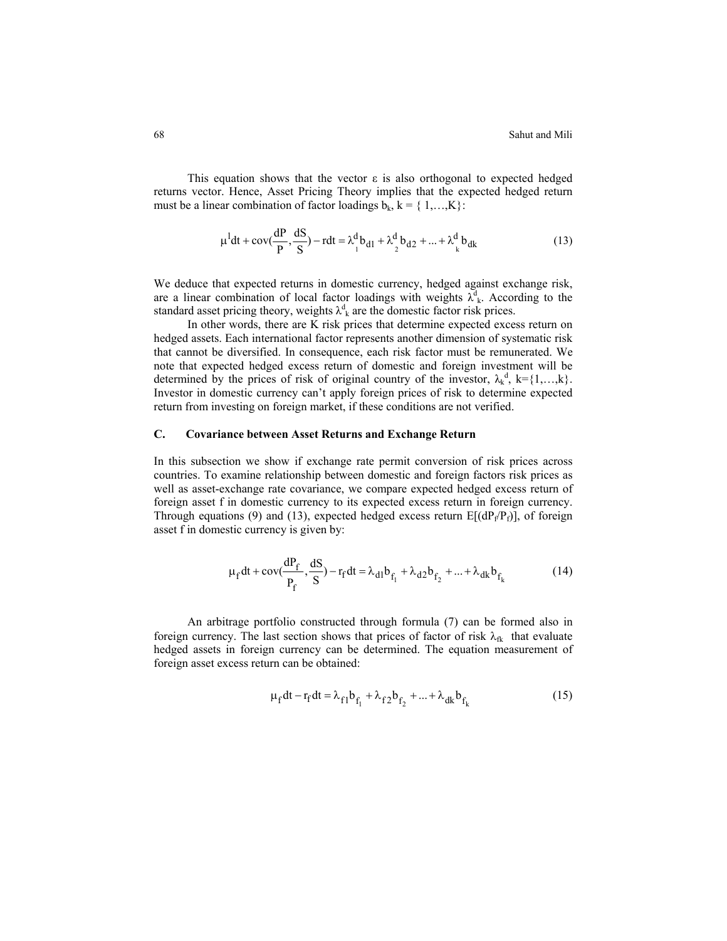This equation shows that the vector  $\varepsilon$  is also orthogonal to expected hedged returns vector. Hence, Asset Pricing Theory implies that the expected hedged return must be a linear combination of factor loadings  $b_k$ ,  $k = \{1,...,K\}$ :

$$
\mu^{1}dt + \text{cov}(\frac{dP}{P}, \frac{dS}{S}) - rdt = \lambda_{1}^{d}b_{d1} + \lambda_{2}^{d}b_{d2} + ... + \lambda_{k}^{d}b_{dk}
$$
 (13)

We deduce that expected returns in domestic currency, hedged against exchange risk, are a linear combination of local factor loadings with weights  $\lambda^d_k$ . According to the standard asset pricing theory, weights  $\lambda^d_k$  are the domestic factor risk prices.

In other words, there are K risk prices that determine expected excess return on hedged assets. Each international factor represents another dimension of systematic risk that cannot be diversified. In consequence, each risk factor must be remunerated. We note that expected hedged excess return of domestic and foreign investment will be determined by the prices of risk of original country of the investor,  $\lambda_k^d$ ,  $k = \{1, \dots, k\}$ . Investor in domestic currency can't apply foreign prices of risk to determine expected return from investing on foreign market, if these conditions are not verified.

## **C. Covariance between Asset Returns and Exchange Return**

In this subsection we show if exchange rate permit conversion of risk prices across countries. To examine relationship between domestic and foreign factors risk prices as well as asset-exchange rate covariance, we compare expected hedged excess return of foreign asset f in domestic currency to its expected excess return in foreign currency. Through equations (9) and (13), expected hedged excess return  $E[(dP_f/P_f)]$ , of foreign asset f in domestic currency is given by:

$$
\mu_f dt + \text{cov}(\frac{dP_f}{P_f}, \frac{dS}{S}) - r_f dt = \lambda_{d1} b_{f_1} + \lambda_{d2} b_{f_2} + ... + \lambda_{dk} b_{f_k}
$$
(14)

An arbitrage portfolio constructed through formula (7) can be formed also in foreign currency. The last section shows that prices of factor of risk  $\lambda_{fk}$  that evaluate hedged assets in foreign currency can be determined. The equation measurement of foreign asset excess return can be obtained:

$$
\mu_{f} dt - r_{f} dt = \lambda_{f1} b_{f_{1}} + \lambda_{f2} b_{f_{2}} + ... + \lambda_{dk} b_{f_{k}}
$$
(15)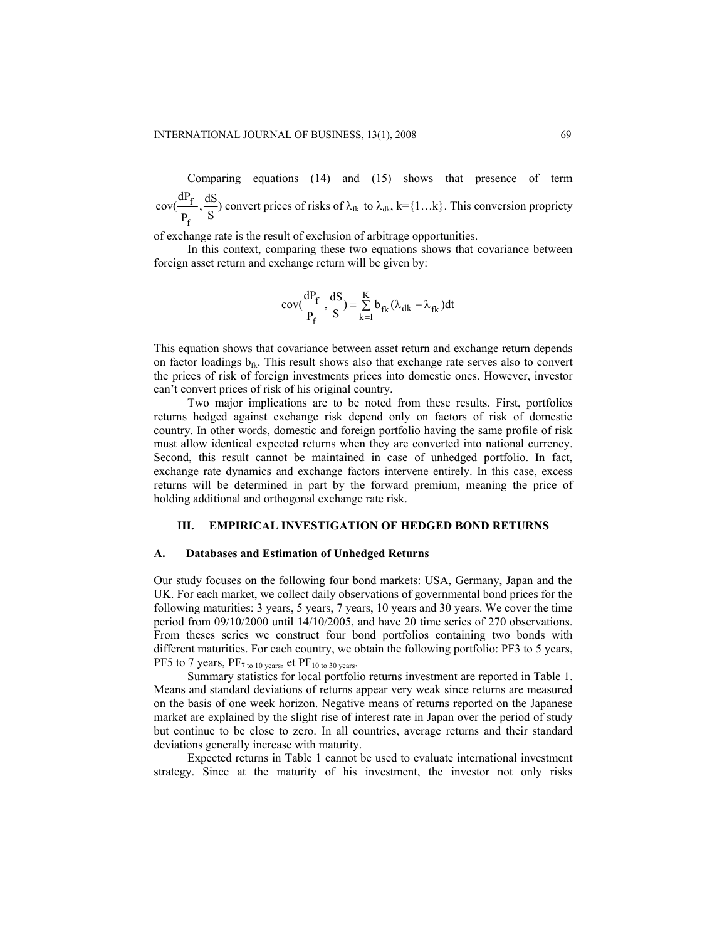Comparing equations (14) and (15) shows that presence of term  $\frac{dS}{S}$ P dP cov( f  $\frac{f}{f}$ ,  $\frac{dS}{dt}$ ) convert prices of risks of  $\lambda_{rk}$  to  $\lambda_{dk}$ , k={1...k}. This conversion propriety

of exchange rate is the result of exclusion of arbitrage opportunities.

In this context, comparing these two equations shows that covariance between foreign asset return and exchange return will be given by:

$$
cov(\frac{dP_f}{P_f}, \frac{dS}{S}) = \sum_{k=1}^{K} b_{fk} (\lambda_{dk} - \lambda_{fk}) dt
$$

This equation shows that covariance between asset return and exchange return depends on factor loadings  $b_{ik}$ . This result shows also that exchange rate serves also to convert the prices of risk of foreign investments prices into domestic ones. However, investor can't convert prices of risk of his original country.

Two major implications are to be noted from these results. First, portfolios returns hedged against exchange risk depend only on factors of risk of domestic country. In other words, domestic and foreign portfolio having the same profile of risk must allow identical expected returns when they are converted into national currency. Second, this result cannot be maintained in case of unhedged portfolio. In fact, exchange rate dynamics and exchange factors intervene entirely. In this case, excess returns will be determined in part by the forward premium, meaning the price of holding additional and orthogonal exchange rate risk.

# **III. EMPIRICAL INVESTIGATION OF HEDGED BOND RETURNS**

#### **A. Databases and Estimation of Unhedged Returns**

Our study focuses on the following four bond markets: USA, Germany, Japan and the UK. For each market, we collect daily observations of governmental bond prices for the following maturities: 3 years, 5 years, 7 years, 10 years and 30 years. We cover the time period from 09/10/2000 until 14/10/2005, and have 20 time series of 270 observations. From theses series we construct four bond portfolios containing two bonds with different maturities. For each country, we obtain the following portfolio: PF3 to 5 years, PF5 to 7 years,  $PF<sub>7 to 10 years</sub>$ , et  $PF<sub>10 to 30 years</sub>$ .

Summary statistics for local portfolio returns investment are reported in Table 1. Means and standard deviations of returns appear very weak since returns are measured on the basis of one week horizon. Negative means of returns reported on the Japanese market are explained by the slight rise of interest rate in Japan over the period of study but continue to be close to zero. In all countries, average returns and their standard deviations generally increase with maturity.

Expected returns in Table 1 cannot be used to evaluate international investment strategy. Since at the maturity of his investment, the investor not only risks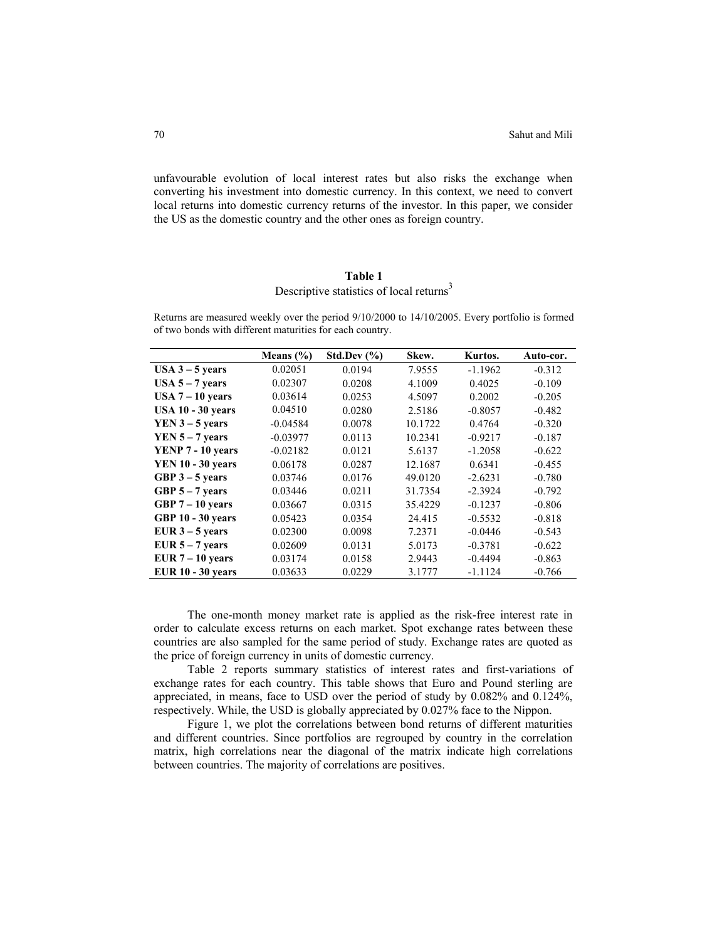unfavourable evolution of local interest rates but also risks the exchange when converting his investment into domestic currency. In this context, we need to convert local returns into domestic currency returns of the investor. In this paper, we consider the US as the domestic country and the other ones as foreign country.

# **Table 1**

# Descriptive statistics of local returns<sup>3</sup>

Returns are measured weekly over the period 9/10/2000 to 14/10/2005. Every portfolio is formed of two bonds with different maturities for each country.

|                          | Means $(\% )$ | Std.Dev $(\% )$ | Skew.   | Kurtos.   | Auto-cor. |
|--------------------------|---------------|-----------------|---------|-----------|-----------|
| $USA 3 - 5 years$        | 0.02051       | 0.0194          | 7.9555  | $-1.1962$ | $-0.312$  |
| USA $5 - 7$ years        | 0.02307       | 0.0208          | 4.1009  | 0.4025    | $-0.109$  |
| USA $7 - 10$ years       | 0.03614       | 0.0253          | 4.5097  | 0.2002    | $-0.205$  |
| <b>USA 10 - 30 years</b> | 0.04510       | 0.0280          | 2.5186  | $-0.8057$ | $-0.482$  |
| $YEN 3 - 5 years$        | $-0.04584$    | 0.0078          | 10.1722 | 0.4764    | $-0.320$  |
| $YEN 5 - 7$ years        | $-0.03977$    | 0.0113          | 10.2341 | $-0.9217$ | $-0.187$  |
| YENP 7 - 10 years        | $-0.02182$    | 0.0121          | 5.6137  | $-1.2058$ | $-0.622$  |
| <b>YEN 10 - 30 years</b> | 0.06178       | 0.0287          | 12.1687 | 0.6341    | $-0.455$  |
| GBP $3 - 5$ years        | 0.03746       | 0.0176          | 49.0120 | $-2.6231$ | $-0.780$  |
| GBP $5 - 7$ years        | 0.03446       | 0.0211          | 31.7354 | $-2.3924$ | $-0.792$  |
| GBP $7-10$ years         | 0.03667       | 0.0315          | 35.4229 | $-0.1237$ | $-0.806$  |
| <b>GBP 10 - 30 years</b> | 0.05423       | 0.0354          | 24.415  | $-0.5532$ | $-0.818$  |
| EUR $3 - 5$ years        | 0.02300       | 0.0098          | 7.2371  | $-0.0446$ | $-0.543$  |
| EUR $5 - 7$ years        | 0.02609       | 0.0131          | 5.0173  | $-0.3781$ | $-0.622$  |
| EUR $7 - 10$ years       | 0.03174       | 0.0158          | 2.9443  | $-0.4494$ | $-0.863$  |
| <b>EUR 10 - 30 years</b> | 0.03633       | 0.0229          | 3.1777  | $-1.1124$ | $-0.766$  |

The one-month money market rate is applied as the risk-free interest rate in order to calculate excess returns on each market. Spot exchange rates between these countries are also sampled for the same period of study. Exchange rates are quoted as the price of foreign currency in units of domestic currency.

Table 2 reports summary statistics of interest rates and first-variations of exchange rates for each country. This table shows that Euro and Pound sterling are appreciated, in means, face to USD over the period of study by 0.082% and 0.124%, respectively. While, the USD is globally appreciated by 0.027% face to the Nippon.

Figure 1, we plot the correlations between bond returns of different maturities and different countries. Since portfolios are regrouped by country in the correlation matrix, high correlations near the diagonal of the matrix indicate high correlations between countries. The majority of correlations are positives.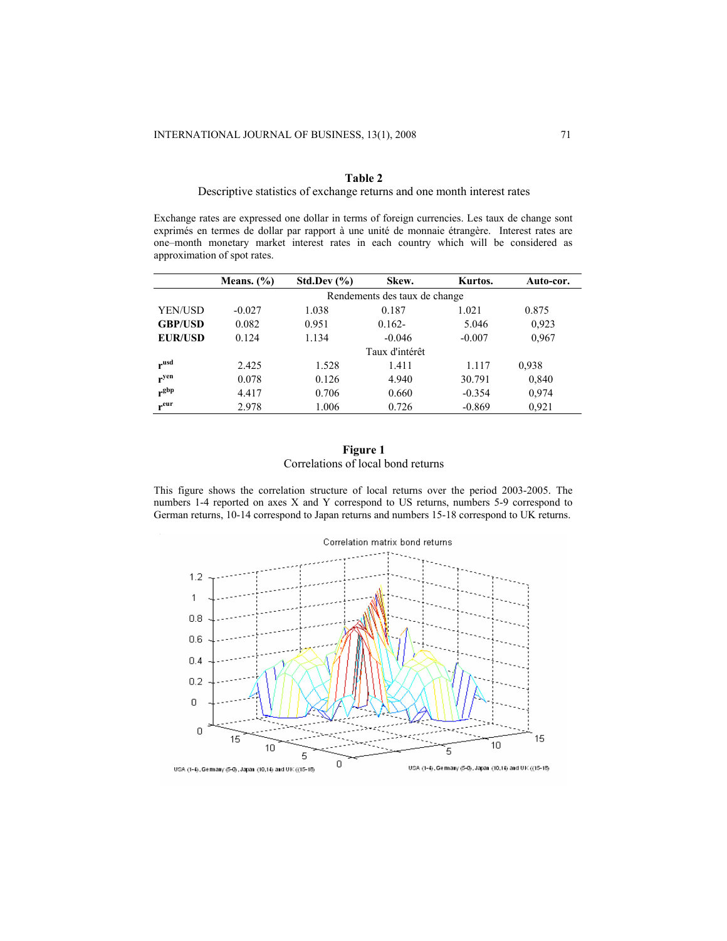## **Table 2**

## Descriptive statistics of exchange returns and one month interest rates

Exchange rates are expressed one dollar in terms of foreign currencies. Les taux de change sont exprimés en termes de dollar par rapport à une unité de monnaie étrangère. Interest rates are one–month monetary market interest rates in each country which will be considered as approximation of spot rates.

|                | Means. $(\% )$ | Std.Dev $(\% )$ | Skew.                         | Kurtos.  | Auto-cor. |
|----------------|----------------|-----------------|-------------------------------|----------|-----------|
|                |                |                 | Rendements des taux de change |          |           |
| YEN/USD        | $-0.027$       | 1.038           | 0.187                         | 1.021    | 0.875     |
| <b>GBP/USD</b> | 0.082          | 0.951           | $0.162 -$                     | 5.046    | 0.923     |
| <b>EUR/USD</b> | 0.124          | 1.134           | $-0.046$                      | $-0.007$ | 0.967     |
|                |                |                 | Taux d'intérêt                |          |           |
| rusd           | 2.425          | 1.528           | 1.411                         | 1.117    | 0.938     |
| $r^{yen}$      | 0.078          | 0.126           | 4.940                         | 30.791   | 0,840     |
| $r^{gbp}$      | 4.417          | 0.706           | 0.660                         | $-0.354$ | 0,974     |
| $r^{eur}$      | 2.978          | 1.006           | 0.726                         | $-0.869$ | 0.921     |

# **Figure 1**  Correlations of local bond returns

This figure shows the correlation structure of local returns over the period 2003-2005. The numbers 1-4 reported on axes X and Y correspond to US returns, numbers 5-9 correspond to German returns, 10-14 correspond to Japan returns and numbers 15-18 correspond to UK returns.

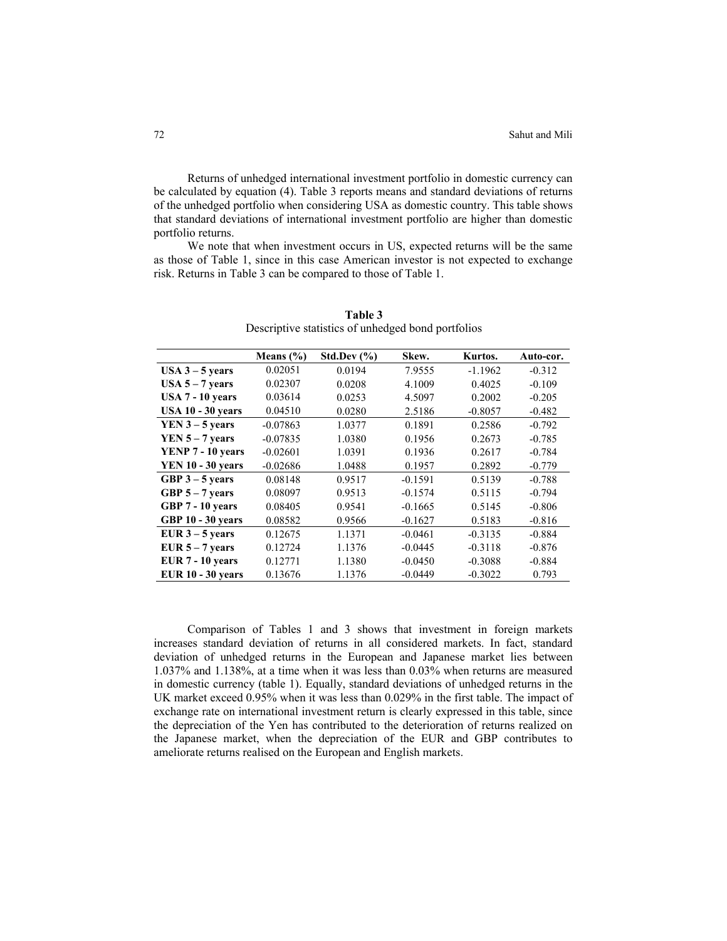Returns of unhedged international investment portfolio in domestic currency can be calculated by equation (4). Table 3 reports means and standard deviations of returns of the unhedged portfolio when considering USA as domestic country. This table shows that standard deviations of international investment portfolio are higher than domestic portfolio returns.

We note that when investment occurs in US, expected returns will be the same as those of Table 1, since in this case American investor is not expected to exchange risk. Returns in Table 3 can be compared to those of Table 1.

|                          | Means $(\% )$ | Std.Dev $(\% )$ | Skew.     | Kurtos.   | Auto-cor. |
|--------------------------|---------------|-----------------|-----------|-----------|-----------|
| $USA 3 - 5 years$        | 0.02051       | 0.0194          | 7.9555    | $-1.1962$ | $-0.312$  |
| $USA 5 - 7 years$        | 0.02307       | 0.0208          | 4.1009    | 0.4025    | $-0.109$  |
| <b>USA 7 - 10 years</b>  | 0.03614       | 0.0253          | 4.5097    | 0.2002    | $-0.205$  |
| <b>USA 10 - 30 years</b> | 0.04510       | 0.0280          | 2.5186    | $-0.8057$ | $-0.482$  |
| $YEN 3 - 5 years$        | $-0.07863$    | 1.0377          | 0.1891    | 0.2586    | $-0.792$  |
| YEN $5 - 7$ years        | $-0.07835$    | 1.0380          | 0.1956    | 0.2673    | $-0.785$  |
| YENP 7 - 10 years        | $-0.02601$    | 1.0391          | 0.1936    | 0.2617    | $-0.784$  |
| <b>YEN 10 - 30 years</b> | $-0.02686$    | 1.0488          | 0.1957    | 0.2892    | $-0.779$  |
| GBP $3 - 5$ years        | 0.08148       | 0.9517          | $-0.1591$ | 0.5139    | $-0.788$  |
| GBP $5 - 7$ years        | 0.08097       | 0.9513          | $-0.1574$ | 0.5115    | $-0.794$  |
| GBP 7 - 10 years         | 0.08405       | 0.9541          | $-0.1665$ | 0.5145    | $-0.806$  |
| <b>GBP 10 - 30 years</b> | 0.08582       | 0.9566          | $-0.1627$ | 0.5183    | $-0.816$  |
| EUR $3 - 5$ years        | 0.12675       | 1.1371          | $-0.0461$ | $-0.3135$ | $-0.884$  |
| EUR $5 - 7$ years        | 0.12724       | 1.1376          | $-0.0445$ | $-0.3118$ | $-0.876$  |
| <b>EUR 7 - 10 years</b>  | 0.12771       | 1.1380          | $-0.0450$ | $-0.3088$ | $-0.884$  |
| <b>EUR 10 - 30 years</b> | 0.13676       | 1.1376          | $-0.0449$ | $-0.3022$ | 0.793     |

**Table 3**  Descriptive statistics of unhedged bond portfolios

Comparison of Tables 1 and 3 shows that investment in foreign markets increases standard deviation of returns in all considered markets. In fact, standard deviation of unhedged returns in the European and Japanese market lies between 1.037% and 1.138%, at a time when it was less than 0.03% when returns are measured in domestic currency (table 1). Equally, standard deviations of unhedged returns in the UK market exceed 0.95% when it was less than 0.029% in the first table. The impact of exchange rate on international investment return is clearly expressed in this table, since the depreciation of the Yen has contributed to the deterioration of returns realized on the Japanese market, when the depreciation of the EUR and GBP contributes to ameliorate returns realised on the European and English markets.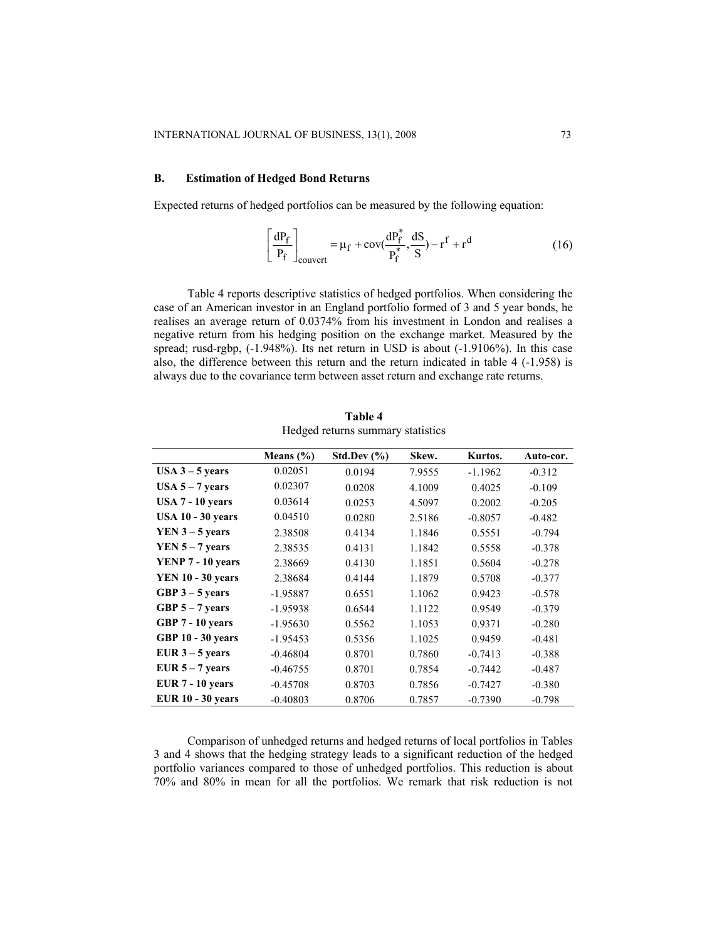# **B. Estimation of Hedged Bond Returns**

Expected returns of hedged portfolios can be measured by the following equation:

$$
\left[\frac{dP_f}{P_f}\right]_{\text{couvert}} = \mu_f + \text{cov}(\frac{dP_f^*}{P_f^*}, \frac{dS}{S}) - r^f + r^d \tag{16}
$$

Table 4 reports descriptive statistics of hedged portfolios. When considering the case of an American investor in an England portfolio formed of 3 and 5 year bonds, he realises an average return of 0.0374% from his investment in London and realises a negative return from his hedging position on the exchange market. Measured by the spread; rusd-rgbp, (-1.948%). Its net return in USD is about (-1.9106%). In this case also, the difference between this return and the return indicated in table 4 (-1.958) is always due to the covariance term between asset return and exchange rate returns.

|                          | Means $(\% )$ | Std.Dev $(\% )$ | Skew.  | Kurtos.   | Auto-cor. |
|--------------------------|---------------|-----------------|--------|-----------|-----------|
| USA $3 - 5$ years        | 0.02051       | 0.0194          | 7.9555 | $-1.1962$ | $-0.312$  |
| $USA 5 - 7 years$        | 0.02307       | 0.0208          | 4.1009 | 0.4025    | $-0.109$  |
| $USA 7 - 10 years$       | 0.03614       | 0.0253          | 4.5097 | 0.2002    | $-0.205$  |
| <b>USA 10 - 30 years</b> | 0.04510       | 0.0280          | 2.5186 | $-0.8057$ | $-0.482$  |
| $YEN 3 - 5$ years        | 2.38508       | 0.4134          | 1.1846 | 0.5551    | $-0.794$  |
| $YEN 5 - 7$ years        | 2.38535       | 0.4131          | 1.1842 | 0.5558    | $-0.378$  |
| YENP 7 - 10 years        | 2.38669       | 0.4130          | 1.1851 | 0.5604    | $-0.278$  |
| <b>YEN 10 - 30 years</b> | 2.38684       | 0.4144          | 1.1879 | 0.5708    | $-0.377$  |
| GBP $3-5$ years          | $-1.95887$    | 0.6551          | 1.1062 | 0.9423    | $-0.578$  |
| GBP $5 - 7$ years        | $-1.95938$    | 0.6544          | 1.1122 | 0.9549    | $-0.379$  |
| GBP 7 - 10 years         | $-1.95630$    | 0.5562          | 1.1053 | 0.9371    | $-0.280$  |
| <b>GBP 10 - 30 years</b> | $-1.95453$    | 0.5356          | 1.1025 | 0.9459    | $-0.481$  |
| EUR $3 - 5$ years        | $-0.46804$    | 0.8701          | 0.7860 | $-0.7413$ | $-0.388$  |
| EUR $5 - 7$ years        | $-0.46755$    | 0.8701          | 0.7854 | $-0.7442$ | $-0.487$  |
| EUR $7 - 10$ years       | $-0.45708$    | 0.8703          | 0.7856 | $-0.7427$ | $-0.380$  |
| <b>EUR 10 - 30 years</b> | $-0.40803$    | 0.8706          | 0.7857 | $-0.7390$ | $-0.798$  |

**Table 4**  Hedged returns summary statistics

Comparison of unhedged returns and hedged returns of local portfolios in Tables 3 and 4 shows that the hedging strategy leads to a significant reduction of the hedged portfolio variances compared to those of unhedged portfolios. This reduction is about 70% and 80% in mean for all the portfolios. We remark that risk reduction is not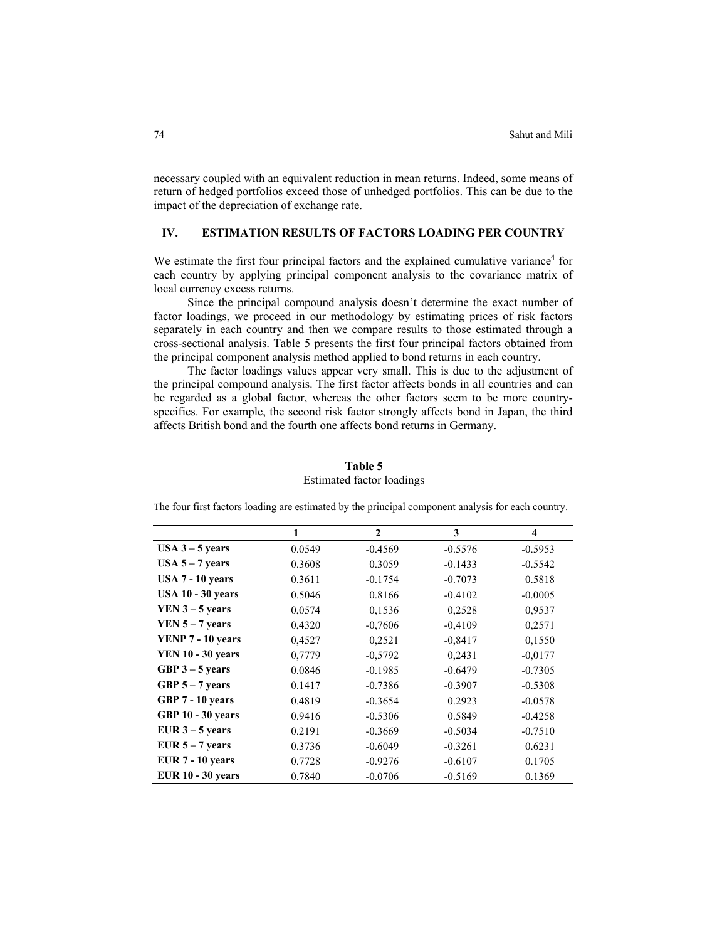necessary coupled with an equivalent reduction in mean returns. Indeed, some means of return of hedged portfolios exceed those of unhedged portfolios. This can be due to the impact of the depreciation of exchange rate.

# **IV. ESTIMATION RESULTS OF FACTORS LOADING PER COUNTRY**

We estimate the first four principal factors and the explained cumulative variance $4$  for each country by applying principal component analysis to the covariance matrix of local currency excess returns.

Since the principal compound analysis doesn't determine the exact number of factor loadings, we proceed in our methodology by estimating prices of risk factors separately in each country and then we compare results to those estimated through a cross-sectional analysis. Table 5 presents the first four principal factors obtained from the principal component analysis method applied to bond returns in each country.

The factor loadings values appear very small. This is due to the adjustment of the principal compound analysis. The first factor affects bonds in all countries and can be regarded as a global factor, whereas the other factors seem to be more countryspecifics. For example, the second risk factor strongly affects bond in Japan, the third affects British bond and the fourth one affects bond returns in Germany.

|                          | 1      | $\mathbf{2}$ | 3         | $\overline{\mathbf{4}}$ |
|--------------------------|--------|--------------|-----------|-------------------------|
| $USA 3 - 5 years$        | 0.0549 | $-0.4569$    | $-0.5576$ | $-0.5953$               |
| $USA 5 - 7 years$        | 0.3608 | 0.3059       | $-0.1433$ | $-0.5542$               |
| $USA 7 - 10 years$       | 0.3611 | $-0.1754$    | $-0.7073$ | 0.5818                  |
| <b>USA 10 - 30 years</b> | 0.5046 | 0.8166       | $-0.4102$ | $-0.0005$               |
| $YEN 3 - 5$ years        | 0,0574 | 0,1536       | 0,2528    | 0,9537                  |
| $YEN 5 - 7$ years        | 0,4320 | $-0,7606$    | $-0.4109$ | 0,2571                  |
| YENP 7 - 10 years        | 0,4527 | 0,2521       | $-0,8417$ | 0,1550                  |
| <b>YEN 10 - 30 years</b> | 0,7779 | $-0,5792$    | 0.2431    | $-0.0177$               |
| GBP $3 - 5$ years        | 0.0846 | $-0.1985$    | $-0.6479$ | $-0.7305$               |
| GBP $5 - 7$ years        | 0.1417 | $-0.7386$    | $-0.3907$ | $-0.5308$               |
| GBP 7 - 10 years         | 0.4819 | $-0.3654$    | 0.2923    | $-0.0578$               |
| <b>GBP 10 - 30 years</b> | 0.9416 | $-0.5306$    | 0.5849    | $-0.4258$               |
| EUR $3 - 5$ years        | 0.2191 | $-0.3669$    | $-0.5034$ | $-0.7510$               |
| EUR $5 - 7$ years        | 0.3736 | $-0.6049$    | $-0.3261$ | 0.6231                  |
| EUR $7 - 10$ years       | 0.7728 | $-0.9276$    | $-0.6107$ | 0.1705                  |
| <b>EUR 10 - 30 years</b> | 0.7840 | $-0.0706$    | $-0.5169$ | 0.1369                  |

# **Table 5**  Estimated factor loadings

The four first factors loading are estimated by the principal component analysis for each country.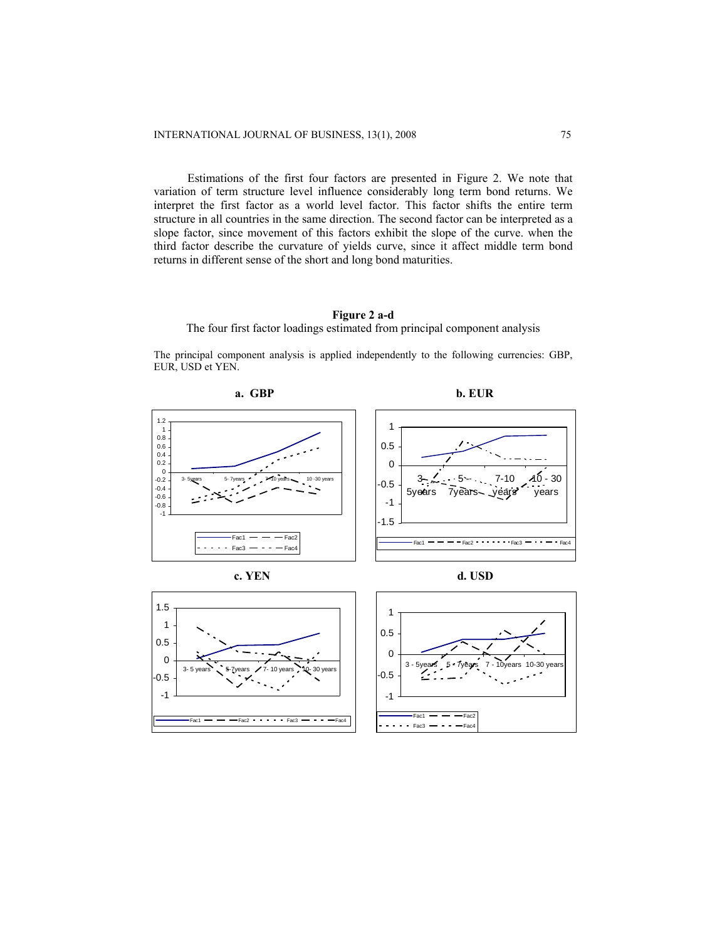Estimations of the first four factors are presented in Figure 2. We note that variation of term structure level influence considerably long term bond returns. We interpret the first factor as a world level factor. This factor shifts the entire term structure in all countries in the same direction. The second factor can be interpreted as a slope factor, since movement of this factors exhibit the slope of the curve. when the third factor describe the curvature of yields curve, since it affect middle term bond returns in different sense of the short and long bond maturities.

## **Figure 2 a-d**

The four first factor loadings estimated from principal component analysis

The principal component analysis is applied independently to the following currencies: GBP, EUR, USD et YEN.





 **c. YEN d. USD** 

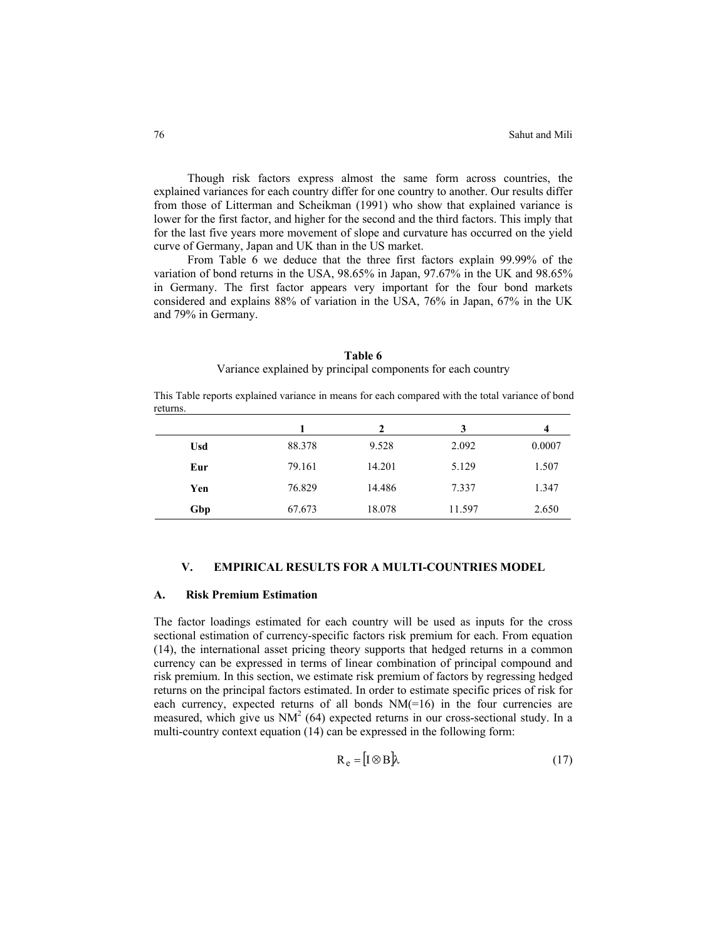Though risk factors express almost the same form across countries, the explained variances for each country differ for one country to another. Our results differ from those of Litterman and Scheikman (1991) who show that explained variance is lower for the first factor, and higher for the second and the third factors. This imply that for the last five years more movement of slope and curvature has occurred on the yield curve of Germany, Japan and UK than in the US market.

From Table 6 we deduce that the three first factors explain 99.99% of the variation of bond returns in the USA, 98.65% in Japan, 97.67% in the UK and 98.65% in Germany. The first factor appears very important for the four bond markets considered and explains 88% of variation in the USA, 76% in Japan, 67% in the UK and 79% in Germany.

#### **Table 6**

## Variance explained by principal components for each country

This Table reports explained variance in means for each compared with the total variance of bond returns.

|            |        | 2      | 3      | 4      |
|------------|--------|--------|--------|--------|
| <b>Usd</b> | 88.378 | 9.528  | 2.092  | 0.0007 |
| Eur        | 79.161 | 14.201 | 5.129  | 1.507  |
| Yen        | 76.829 | 14.486 | 7.337  | 1.347  |
| Gbp        | 67.673 | 18.078 | 11.597 | 2.650  |

# **V. EMPIRICAL RESULTS FOR A MULTI-COUNTRIES MODEL**

## **A. Risk Premium Estimation**

The factor loadings estimated for each country will be used as inputs for the cross sectional estimation of currency-specific factors risk premium for each. From equation (14), the international asset pricing theory supports that hedged returns in a common currency can be expressed in terms of linear combination of principal compound and risk premium. In this section, we estimate risk premium of factors by regressing hedged returns on the principal factors estimated. In order to estimate specific prices of risk for each currency, expected returns of all bonds  $NM(=16)$  in the four currencies are measured, which give us  $NM^2$  (64) expected returns in our cross-sectional study. In a multi-country context equation (14) can be expressed in the following form:

$$
R_e = [I \otimes B] \lambda \tag{17}
$$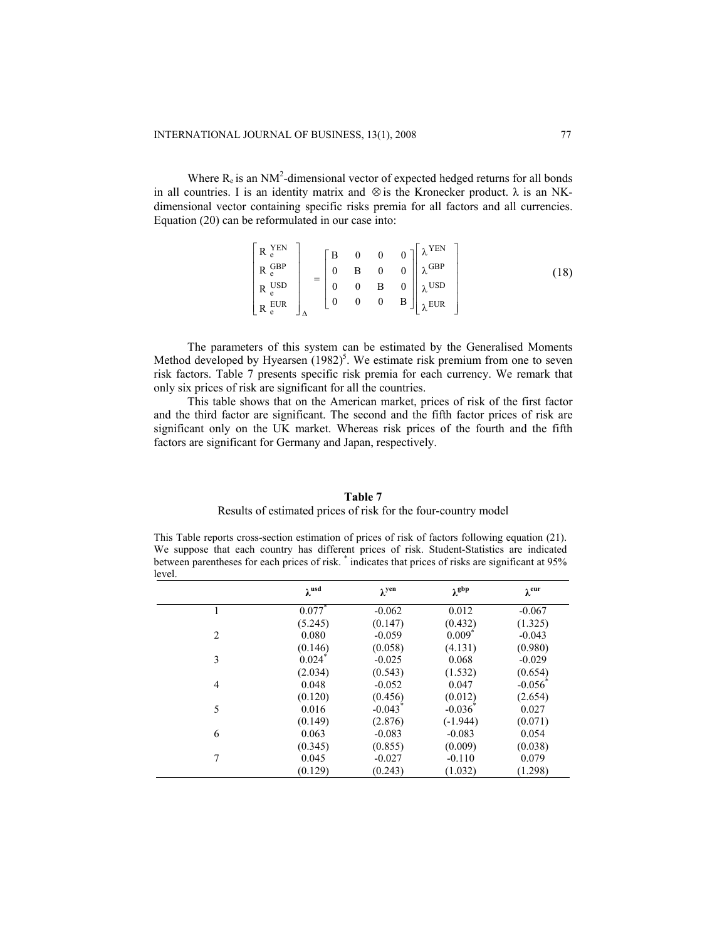Where  $R_e$  is an NM<sup>2</sup>-dimensional vector of expected hedged returns for all bonds in all countries. I is an identity matrix and  $\otimes$  is the Kronecker product.  $\lambda$  is an NKdimensional vector containing specific risks premia for all factors and all currencies. Equation (20) can be reformulated in our case into:

$$
\begin{bmatrix}\nR_e^{YEN} \\
R_e^{GBP} \\
R_e^{USD} \\
R_e^{USD} \\
R_e^{EUR}\n\end{bmatrix} =\n\begin{bmatrix}\nB & 0 & 0 & 0 \\
0 & B & 0 & 0 \\
0 & 0 & B & 0 \\
0 & 0 & 0 & B\n\end{bmatrix}\n\begin{bmatrix}\n\lambda^{YEN} \\
\lambda^{GBP} \\
\lambda^{USD} \\
\lambda^{USD}\n\end{bmatrix}
$$
\n(18)

The parameters of this system can be estimated by the Generalised Moments Method developed by Hyearsen  $(1982)^5$ . We estimate risk premium from one to seven risk factors. Table 7 presents specific risk premia for each currency. We remark that only six prices of risk are significant for all the countries.

This table shows that on the American market, prices of risk of the first factor and the third factor are significant. The second and the fifth factor prices of risk are significant only on the UK market. Whereas risk prices of the fourth and the fifth factors are significant for Germany and Japan, respectively.

# **Table 7**  Results of estimated prices of risk for the four-country model

This Table reports cross-section estimation of prices of risk of factors following equation (21). We suppose that each country has different prices of risk. Student-Statistics are indicated between parentheses for each prices of risk.  $*$  indicates that prices of risks are significant at 95% level.

|                | $\lambda$ usd | $\lambda$ yen | $\lambda^{gbp}$       | $\lambda$ eur |
|----------------|---------------|---------------|-----------------------|---------------|
|                | 0.077         | $-0.062$      | 0.012                 | $-0.067$      |
|                | (5.245)       | (0.147)       | (0.432)               | (1.325)       |
| $\overline{c}$ | 0.080         | $-0.059$      | $0.009*$              | $-0.043$      |
|                | (0.146)       | (0.058)       | (4.131)               | (0.980)       |
| 3              | 0.024         | $-0.025$      | 0.068                 | $-0.029$      |
|                | (2.034)       | (0.543)       | (1.532)               | (0.654)       |
| $\overline{4}$ | 0.048         | $-0.052$      | 0.047                 | $-0.056$      |
|                | (0.120)       | (0.456)       | (0.012)               | (2.654)       |
| 5              | 0.016         | $-0.043$      | $-0.036$ <sup>*</sup> | 0.027         |
|                | (0.149)       | (2.876)       | $(-1.944)$            | (0.071)       |
| 6              | 0.063         | $-0.083$      | $-0.083$              | 0.054         |
|                | (0.345)       | (0.855)       | (0.009)               | (0.038)       |
| 7              | 0.045         | $-0.027$      | $-0.110$              | 0.079         |
|                | (0.129)       | (0.243)       | (1.032)               | (1.298)       |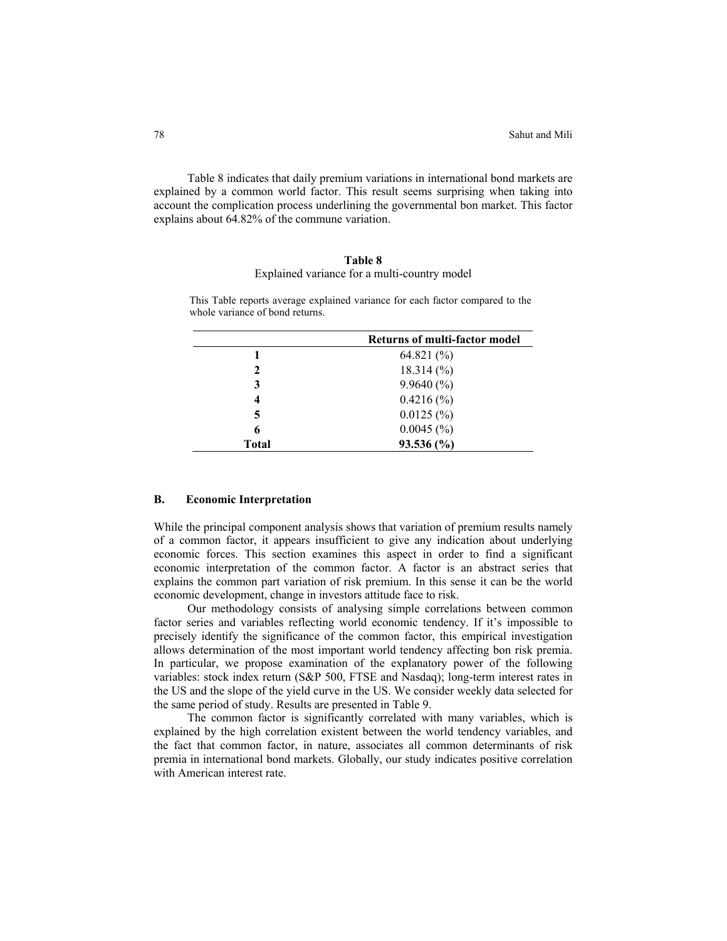Table 8 indicates that daily premium variations in international bond markets are explained by a common world factor. This result seems surprising when taking into account the complication process underlining the governmental bon market. This factor explains about 64.82% of the commune variation.

# **Table 8**  Explained variance for a multi-country model

|             | <b>Returns of multi-factor model</b> |
|-------------|--------------------------------------|
|             | 64.821 $(\%$                         |
| $\mathbf 2$ | $18.314\ (%)$                        |
| 3           | $9.9640\,(%)$                        |
| 4           | $0.4216\,(%)$                        |
| 5           | 0.0125(%)                            |
| 6           | $0.0045$ (%)                         |
| Total       | 93.536 (%)                           |

This Table reports average explained variance for each factor compared to the whole variance of bond returns.

#### **B. Economic Interpretation**

While the principal component analysis shows that variation of premium results namely of a common factor, it appears insufficient to give any indication about underlying economic forces. This section examines this aspect in order to find a significant economic interpretation of the common factor. A factor is an abstract series that explains the common part variation of risk premium. In this sense it can be the world economic development, change in investors attitude face to risk.

Our methodology consists of analysing simple correlations between common factor series and variables reflecting world economic tendency. If it's impossible to precisely identify the significance of the common factor, this empirical investigation allows determination of the most important world tendency affecting bon risk premia. In particular, we propose examination of the explanatory power of the following variables: stock index return (S&P 500, FTSE and Nasdaq); long-term interest rates in the US and the slope of the yield curve in the US. We consider weekly data selected for the same period of study. Results are presented in Table 9.

The common factor is significantly correlated with many variables, which is explained by the high correlation existent between the world tendency variables, and the fact that common factor, in nature, associates all common determinants of risk premia in international bond markets. Globally, our study indicates positive correlation with American interest rate.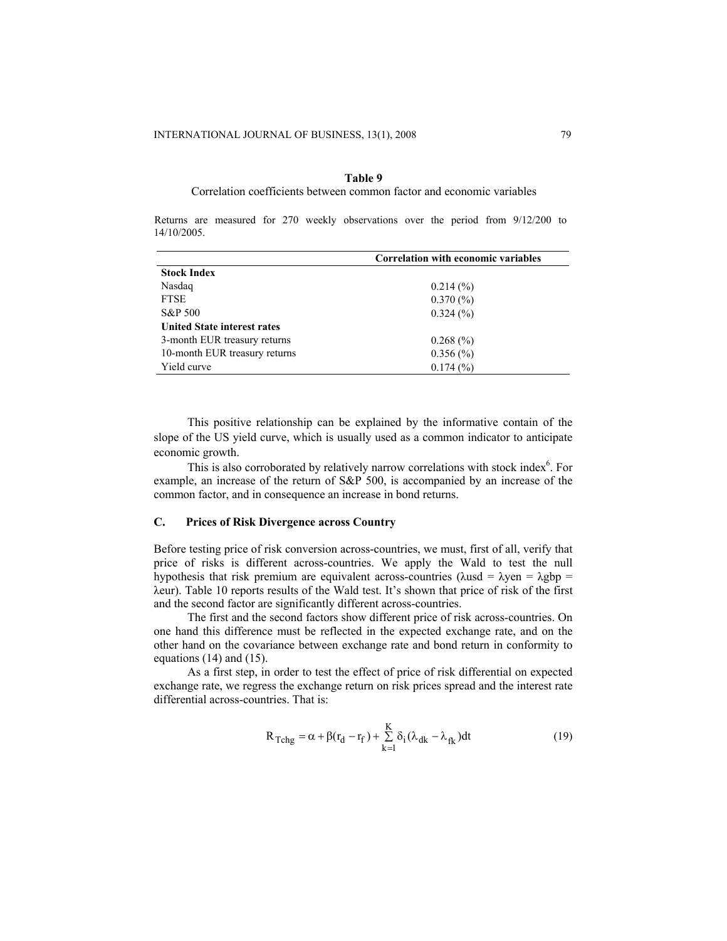#### **Table 9**

#### Correlation coefficients between common factor and economic variables

Returns are measured for 270 weekly observations over the period from 9/12/200 to 14/10/2005.

| Correlation with economic variables |
|-------------------------------------|
|                                     |
| $0.214\ (%)$                        |
| $0.370\ (%)$                        |
| 0.324(%)                            |
|                                     |
| $0.268\ (%)$                        |
| $0.356\,(%)$                        |
| 0.174(%)                            |
|                                     |

This positive relationship can be explained by the informative contain of the slope of the US yield curve, which is usually used as a common indicator to anticipate economic growth.

This is also corroborated by relatively narrow correlations with stock index<sup>6</sup>. For example, an increase of the return of S&P 500, is accompanied by an increase of the common factor, and in consequence an increase in bond returns.

# **C. Prices of Risk Divergence across Country**

Before testing price of risk conversion across-countries, we must, first of all, verify that price of risks is different across-countries. We apply the Wald to test the null hypothesis that risk premium are equivalent across-countries ( $\lambda$ usd =  $\lambda$ yen =  $\lambda$ gbp = λeur). Table 10 reports results of the Wald test. It's shown that price of risk of the first and the second factor are significantly different across-countries.

The first and the second factors show different price of risk across-countries. On one hand this difference must be reflected in the expected exchange rate, and on the other hand on the covariance between exchange rate and bond return in conformity to equations (14) and (15).

As a first step, in order to test the effect of price of risk differential on expected exchange rate, we regress the exchange return on risk prices spread and the interest rate differential across-countries. That is:

$$
R_{\text{Tchg}} = \alpha + \beta (r_d - r_f) + \sum_{k=1}^{K} \delta_i (\lambda_{dk} - \lambda_{fk}) dt
$$
 (19)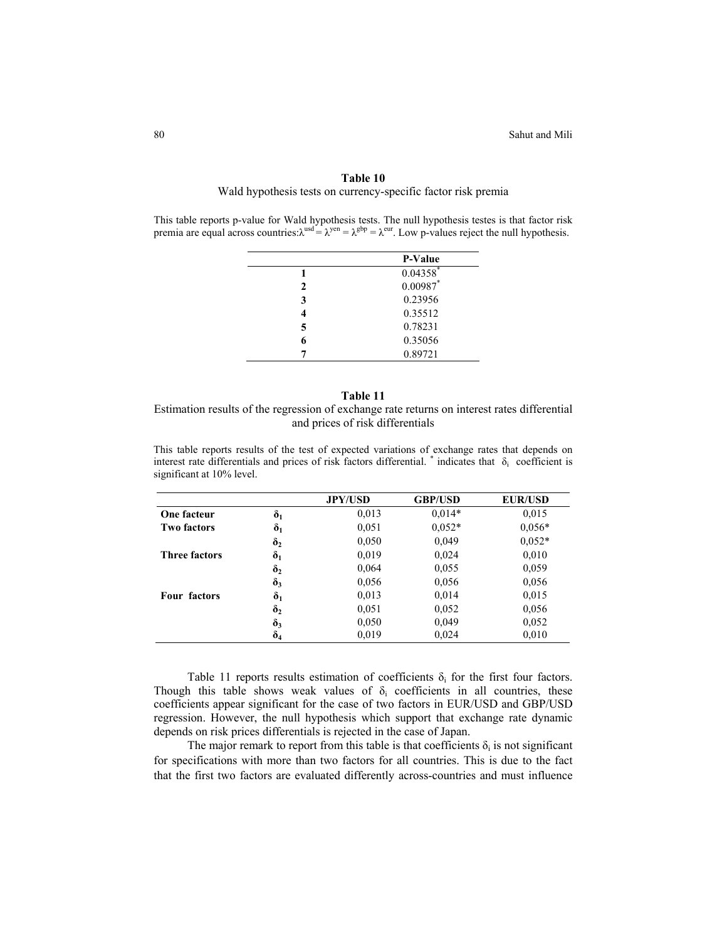#### **Table 10**

Wald hypothesis tests on currency-specific factor risk premia

This table reports p-value for Wald hypothesis tests. The null hypothesis testes is that factor risk premia are equal across countries: $\lambda^{usd} = \lambda^{gen} = \lambda^{gbp} = \lambda^{eur}$ . Low p-values reject the null hypothesis.

|   | P-Value     |
|---|-------------|
|   | $0.04358$ * |
| 2 | $0.00987$ * |
| 3 | 0.23956     |
| 4 | 0.35512     |
| 5 | 0.78231     |
| 6 | 0.35056     |
| 7 | 0.89721     |

#### **Table 11**

Estimation results of the regression of exchange rate returns on interest rates differential and prices of risk differentials

This table reports results of the test of expected variations of exchange rates that depends on interest rate differentials and prices of risk factors differential.  $*$  indicates that  $\delta_i$  coefficient is significant at 10% level.

|                      |                         | <b>JPY/USD</b> | <b>GBP/USD</b> | <b>EUR/USD</b> |
|----------------------|-------------------------|----------------|----------------|----------------|
| One facteur          | $\boldsymbol{\delta}_1$ | 0.013          | $0.014*$       | 0,015          |
| <b>Two factors</b>   | $\delta_1$              | 0,051          | $0.052*$       | $0,056*$       |
|                      | $\delta_2$              | 0,050          | 0,049          | $0.052*$       |
| <b>Three factors</b> | $\delta_1$              | 0,019          | 0,024          | 0,010          |
|                      | $\delta_2$              | 0,064          | 0,055          | 0,059          |
|                      | $\delta_3$              | 0,056          | 0,056          | 0,056          |
| Four factors         | $\boldsymbol{\delta}_1$ | 0,013          | 0,014          | 0,015          |
|                      | $\delta_2$              | 0,051          | 0,052          | 0,056          |
|                      | $\delta_3$              | 0,050          | 0,049          | 0,052          |
|                      | $\delta_4$              | 0,019          | 0,024          | 0,010          |

Table 11 reports results estimation of coefficients  $\delta_i$  for the first four factors. Though this table shows weak values of  $\delta_i$  coefficients in all countries, these coefficients appear significant for the case of two factors in EUR/USD and GBP/USD regression. However, the null hypothesis which support that exchange rate dynamic depends on risk prices differentials is rejected in the case of Japan.

The major remark to report from this table is that coefficients  $\delta_i$  is not significant for specifications with more than two factors for all countries. This is due to the fact that the first two factors are evaluated differently across-countries and must influence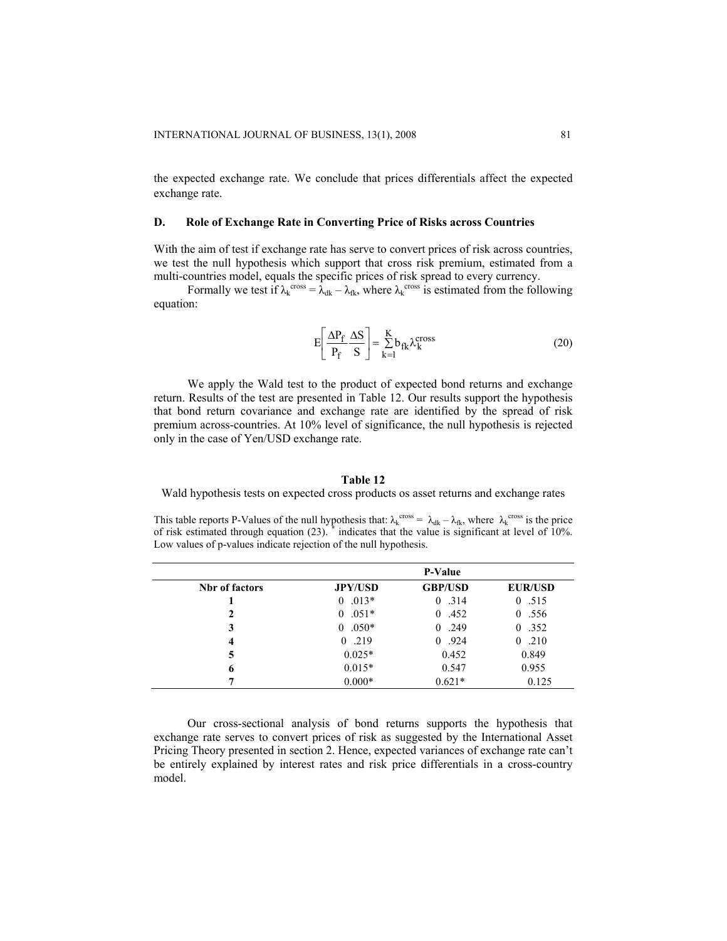the expected exchange rate. We conclude that prices differentials affect the expected exchange rate.

# **D. Role of Exchange Rate in Converting Price of Risks across Countries**

With the aim of test if exchange rate has serve to convert prices of risk across countries, we test the null hypothesis which support that cross risk premium, estimated from a multi-countries model, equals the specific prices of risk spread to every currency.

Formally we test if  $\lambda_k^{\text{cross}} = \lambda_{dk} - \lambda_{fk}$ , where  $\lambda_k^{\text{cross}}$  is estimated from the following equation:

$$
E\left[\frac{\Delta P_f}{P_f}\frac{\Delta S}{S}\right] = \sum_{k=1}^{K} b_{fk} \lambda_k^{cross}
$$
 (20)

We apply the Wald test to the product of expected bond returns and exchange return. Results of the test are presented in Table 12. Our results support the hypothesis that bond return covariance and exchange rate are identified by the spread of risk premium across-countries. At 10% level of significance, the null hypothesis is rejected only in the case of Yen/USD exchange rate.

## **Table 12**

Wald hypothesis tests on expected cross products os asset returns and exchange rates

This table reports P-Values of the null hypothesis that:  $\lambda_k^{cross} = \lambda_{dk} - \lambda_{fk}$ , where  $\lambda_k^{cross}$  is the price of risk estimated through equation  $(23)$ . \* indicates that the value is significant at level of 10%. Low values of p-values indicate rejection of the null hypothesis.

|                       |                | P-Value        |                  |
|-----------------------|----------------|----------------|------------------|
| <b>Nbr</b> of factors | <b>JPY/USD</b> | <b>GBP/USD</b> | <b>EUR/USD</b>   |
|                       | $.013*$<br>0   | 0, 314         | 0.515            |
|                       | $0.051*$       | 0,452          | 0.556            |
| 3                     | $0.050*$<br>0  | 0, 249         | 0.352            |
| 4                     | 0.219          | 0.924          | .210<br>$\theta$ |
| 5                     | $0.025*$       | 0.452          | 0.849            |
| 6                     | $0.015*$       | 0.547          | 0.955            |
| 7                     | $0.000*$       | $0.621*$       | 0.125            |

Our cross-sectional analysis of bond returns supports the hypothesis that exchange rate serves to convert prices of risk as suggested by the International Asset Pricing Theory presented in section 2. Hence, expected variances of exchange rate can't be entirely explained by interest rates and risk price differentials in a cross-country model.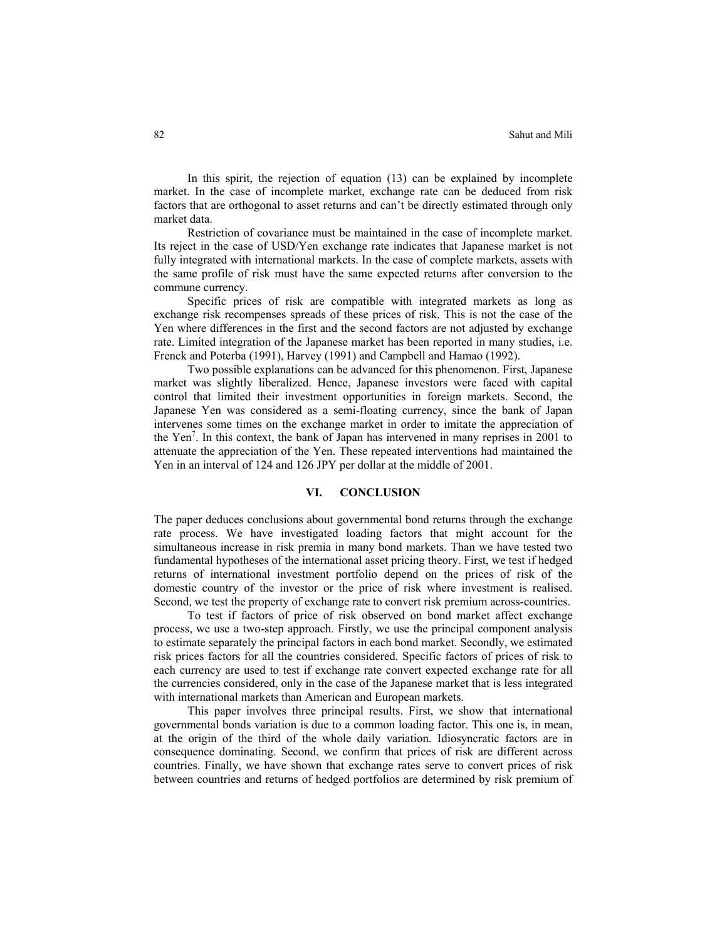In this spirit, the rejection of equation (13) can be explained by incomplete market. In the case of incomplete market, exchange rate can be deduced from risk factors that are orthogonal to asset returns and can't be directly estimated through only market data.

Restriction of covariance must be maintained in the case of incomplete market. Its reject in the case of USD/Yen exchange rate indicates that Japanese market is not fully integrated with international markets. In the case of complete markets, assets with the same profile of risk must have the same expected returns after conversion to the commune currency.

Specific prices of risk are compatible with integrated markets as long as exchange risk recompenses spreads of these prices of risk. This is not the case of the Yen where differences in the first and the second factors are not adjusted by exchange rate. Limited integration of the Japanese market has been reported in many studies, i.e. Frenck and Poterba (1991), Harvey (1991) and Campbell and Hamao (1992).

Two possible explanations can be advanced for this phenomenon. First, Japanese market was slightly liberalized. Hence, Japanese investors were faced with capital control that limited their investment opportunities in foreign markets. Second, the Japanese Yen was considered as a semi-floating currency, since the bank of Japan intervenes some times on the exchange market in order to imitate the appreciation of the Yen7 . In this context, the bank of Japan has intervened in many reprises in 2001 to attenuate the appreciation of the Yen. These repeated interventions had maintained the Yen in an interval of 124 and 126 JPY per dollar at the middle of 2001.

#### **VI. CONCLUSION**

The paper deduces conclusions about governmental bond returns through the exchange rate process. We have investigated loading factors that might account for the simultaneous increase in risk premia in many bond markets. Than we have tested two fundamental hypotheses of the international asset pricing theory. First, we test if hedged returns of international investment portfolio depend on the prices of risk of the domestic country of the investor or the price of risk where investment is realised. Second, we test the property of exchange rate to convert risk premium across-countries.

To test if factors of price of risk observed on bond market affect exchange process, we use a two-step approach. Firstly, we use the principal component analysis to estimate separately the principal factors in each bond market. Secondly, we estimated risk prices factors for all the countries considered. Specific factors of prices of risk to each currency are used to test if exchange rate convert expected exchange rate for all the currencies considered, only in the case of the Japanese market that is less integrated with international markets than American and European markets.

This paper involves three principal results. First, we show that international governmental bonds variation is due to a common loading factor. This one is, in mean, at the origin of the third of the whole daily variation. Idiosyncratic factors are in consequence dominating. Second, we confirm that prices of risk are different across countries. Finally, we have shown that exchange rates serve to convert prices of risk between countries and returns of hedged portfolios are determined by risk premium of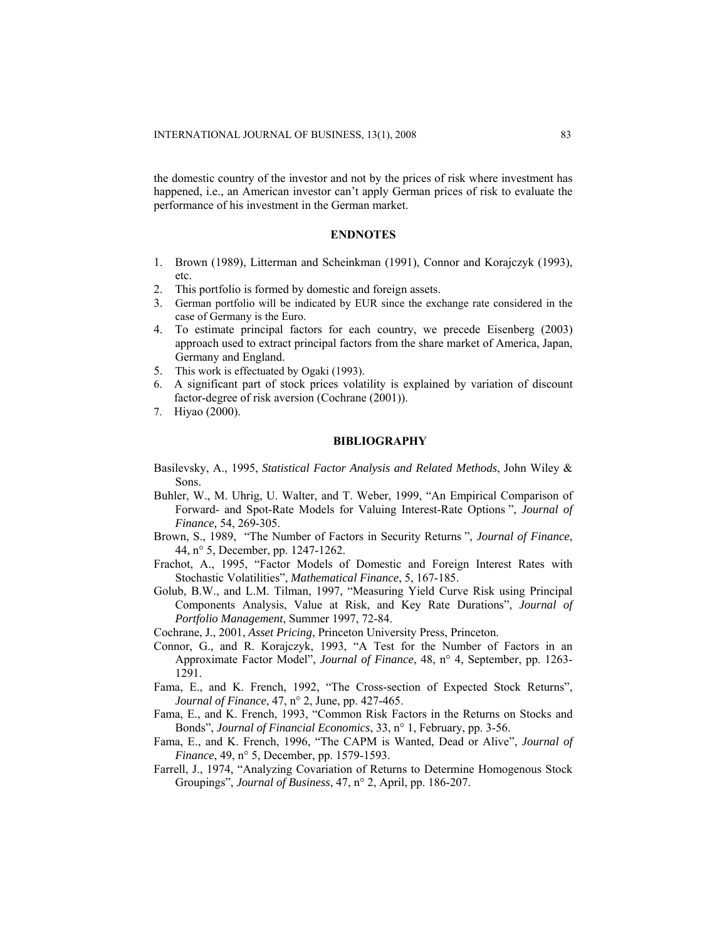the domestic country of the investor and not by the prices of risk where investment has happened, i.e., an American investor can't apply German prices of risk to evaluate the performance of his investment in the German market.

## **ENDNOTES**

- 1. Brown (1989), Litterman and Scheinkman (1991), Connor and Korajczyk (1993), etc.
- 2. This portfolio is formed by domestic and foreign assets.
- 3. German portfolio will be indicated by EUR since the exchange rate considered in the case of Germany is the Euro.
- 4. To estimate principal factors for each country, we precede Eisenberg (2003) approach used to extract principal factors from the share market of America, Japan, Germany and England.
- 5. This work is effectuated by Ogaki (1993).
- 6. A significant part of stock prices volatility is explained by variation of discount factor-degree of risk aversion (Cochrane (2001)).
- 7. Hiyao (2000).

#### **BIBLIOGRAPHY**

- Basilevsky, A., 1995, *Statistical Factor Analysis and Related Methods*, John Wiley & Sons.
- Buhler, W., M. Uhrig, U. Walter, and T. Weber, 1999, "An Empirical Comparison of Forward- and Spot-Rate Models for Valuing Interest-Rate Options ", *Journal of Finance,* 54, 269-305.
- Brown, S., 1989, "The Number of Factors in Security Returns ", *Journal of Finance*, 44, n° 5, December, pp. 1247-1262.
- Frachot, A., 1995, "Factor Models of Domestic and Foreign Interest Rates with Stochastic Volatilities", *Mathematical Finance*, 5, 167-185.
- Golub, B.W., and L.M. Tilman, 1997, "Measuring Yield Curve Risk using Principal Components Analysis, Value at Risk, and Key Rate Durations", *Journal of Portfolio Management*, Summer 1997, 72-84.

Cochrane, J., 2001, *Asset Pricing*, Princeton University Press, Princeton.

- Connor, G., and R. Korajczyk, 1993, "A Test for the Number of Factors in an Approximate Factor Model", *Journal of Finance*, 48, n° 4, September, pp. 1263- 1291.
- Fama, E., and K. French, 1992, "The Cross-section of Expected Stock Returns", *Journal of Finance*, 47, n° 2, June, pp. 427-465.
- Fama, E., and K. French, 1993, "Common Risk Factors in the Returns on Stocks and Bonds", *Journal of Financial Economics*, 33, n° 1, February, pp. 3-56.
- Fama, E., and K. French, 1996, "The CAPM is Wanted, Dead or Alive", *Journal of Finance*, 49, n° 5, December, pp. 1579-1593.
- Farrell, J., 1974, "Analyzing Covariation of Returns to Determine Homogenous Stock Groupings", *Journal of Business*, 47, n° 2, April, pp. 186-207.